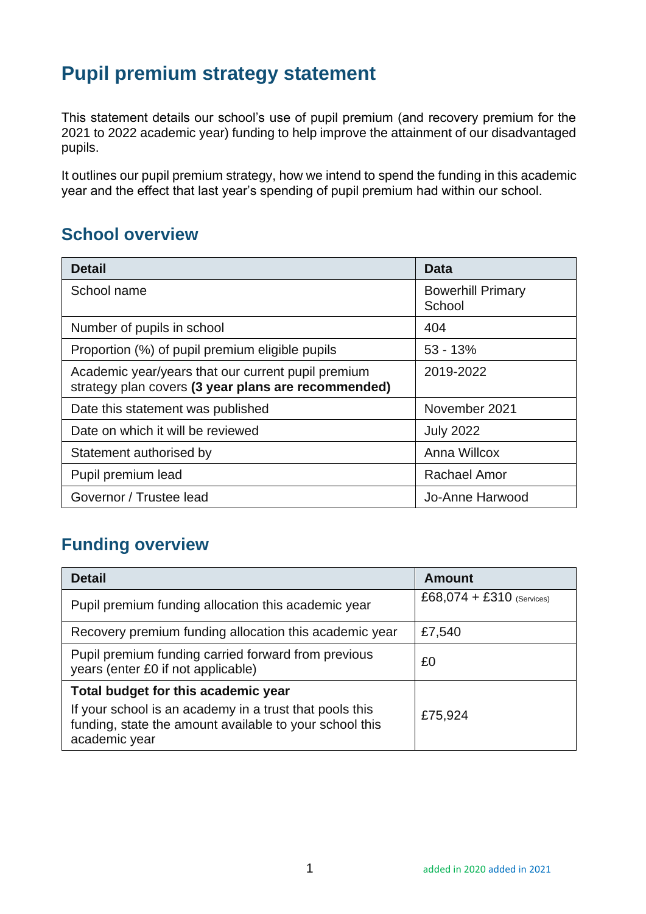## **Pupil premium strategy statement**

This statement details our school's use of pupil premium (and recovery premium for the 2021 to 2022 academic year) funding to help improve the attainment of our disadvantaged pupils.

It outlines our pupil premium strategy, how we intend to spend the funding in this academic year and the effect that last year's spending of pupil premium had within our school.

## **School overview**

| <b>Detail</b>                                                                                             | Data                               |
|-----------------------------------------------------------------------------------------------------------|------------------------------------|
| School name                                                                                               | <b>Bowerhill Primary</b><br>School |
| Number of pupils in school                                                                                | 404                                |
| Proportion (%) of pupil premium eligible pupils                                                           | $53 - 13%$                         |
| Academic year/years that our current pupil premium<br>strategy plan covers (3 year plans are recommended) | 2019-2022                          |
| Date this statement was published                                                                         | November 2021                      |
| Date on which it will be reviewed                                                                         | <b>July 2022</b>                   |
| Statement authorised by                                                                                   | Anna Willcox                       |
| Pupil premium lead                                                                                        | <b>Rachael Amor</b>                |
| Governor / Trustee lead                                                                                   | Jo-Anne Harwood                    |

## **Funding overview**

| <b>Detail</b>                                                                                                                                             | Amount                      |  |
|-----------------------------------------------------------------------------------------------------------------------------------------------------------|-----------------------------|--|
| Pupil premium funding allocation this academic year                                                                                                       | $£68,074 + £310$ (Services) |  |
| Recovery premium funding allocation this academic year                                                                                                    | £7,540                      |  |
| Pupil premium funding carried forward from previous<br>years (enter £0 if not applicable)                                                                 | £0                          |  |
| Total budget for this academic year<br>If your school is an academy in a trust that pools this<br>funding, state the amount available to your school this | £75,924                     |  |
| academic year                                                                                                                                             |                             |  |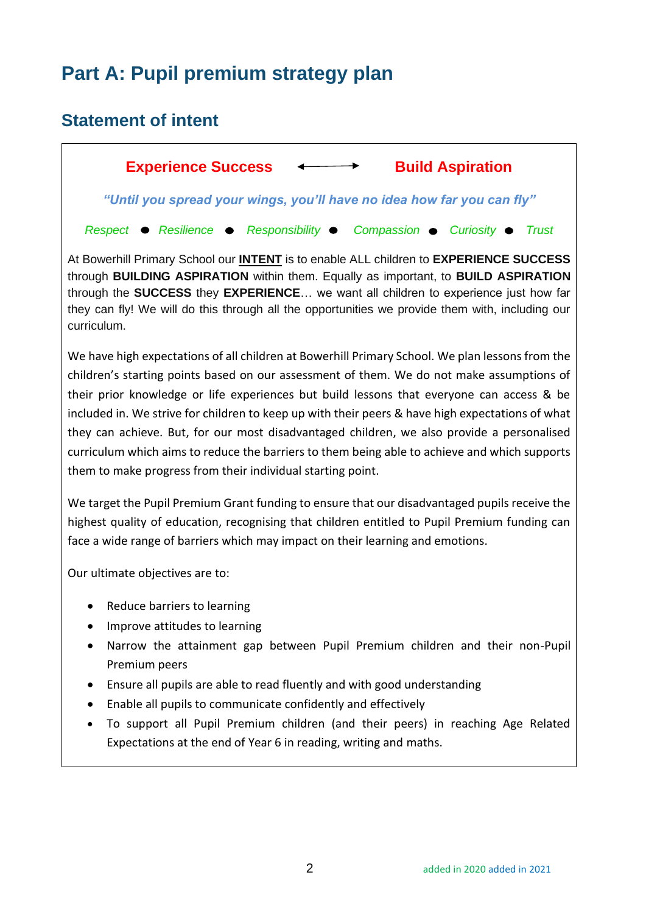## **Part A: Pupil premium strategy plan**

## **Statement of intent**

Experience Success  $\longleftrightarrow$  Build Aspiration *"Until you spread your wings, you'll have no idea how far you can fly"* Respect **•** Resilience • Responsibility • Compassion • Curiosity • Trust

At Bowerhill Primary School our **INTENT** is to enable ALL children to **EXPERIENCE SUCCESS** through **BUILDING ASPIRATION** within them. Equally as important, to **BUILD ASPIRATION** through the **SUCCESS** they **EXPERIENCE**… we want all children to experience just how far they can fly! We will do this through all the opportunities we provide them with, including our curriculum.

We have high expectations of all children at Bowerhill Primary School. We plan lessons from the children's starting points based on our assessment of them. We do not make assumptions of their prior knowledge or life experiences but build lessons that everyone can access & be included in. We strive for children to keep up with their peers & have high expectations of what they can achieve. But, for our most disadvantaged children, we also provide a personalised curriculum which aims to reduce the barriers to them being able to achieve and which supports them to make progress from their individual starting point.

We target the Pupil Premium Grant funding to ensure that our disadvantaged pupils receive the highest quality of education, recognising that children entitled to Pupil Premium funding can face a wide range of barriers which may impact on their learning and emotions.

Our ultimate objectives are to:

- Reduce barriers to learning
- Improve attitudes to learning
- Narrow the attainment gap between Pupil Premium children and their non-Pupil Premium peers
- Ensure all pupils are able to read fluently and with good understanding
- Enable all pupils to communicate confidently and effectively
- To support all Pupil Premium children (and their peers) in reaching Age Related Expectations at the end of Year 6 in reading, writing and maths.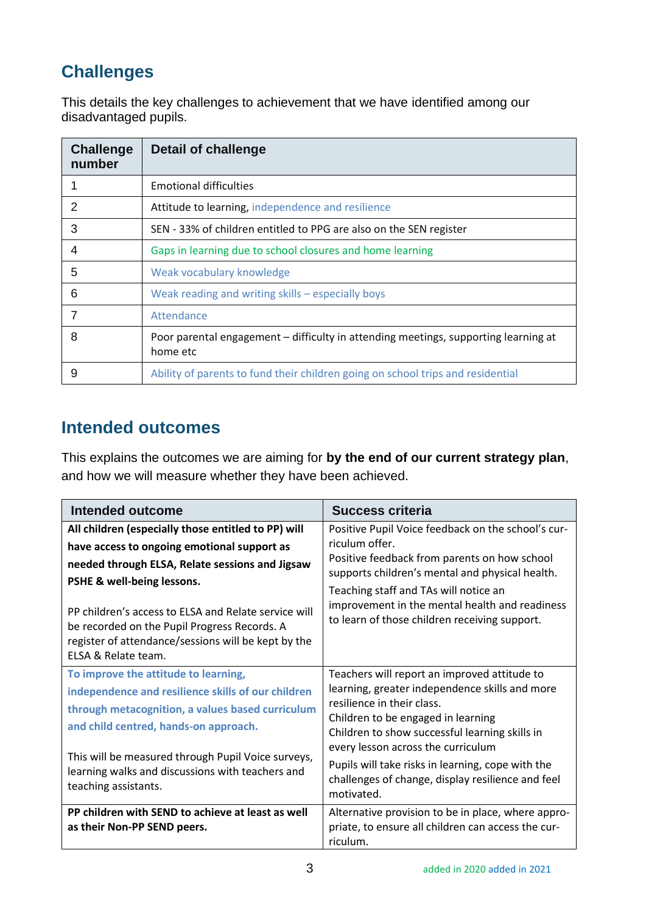## **Challenges**

This details the key challenges to achievement that we have identified among our disadvantaged pupils.

| <b>Challenge</b><br>number | <b>Detail of challenge</b>                                                                      |
|----------------------------|-------------------------------------------------------------------------------------------------|
|                            | <b>Emotional difficulties</b>                                                                   |
| $\mathcal{P}$              | Attitude to learning, independence and resilience                                               |
| 3                          | SEN - 33% of children entitled to PPG are also on the SEN register                              |
| 4                          | Gaps in learning due to school closures and home learning                                       |
| 5                          | Weak vocabulary knowledge                                                                       |
| 6                          | Weak reading and writing skills - especially boys                                               |
|                            | Attendance                                                                                      |
| 8                          | Poor parental engagement – difficulty in attending meetings, supporting learning at<br>home etc |
| 9                          | Ability of parents to fund their children going on school trips and residential                 |

## **Intended outcomes**

This explains the outcomes we are aiming for **by the end of our current strategy plan**, and how we will measure whether they have been achieved.

| Intended outcome                                                                                                                                                                                                                                                                                                                                                          | Success criteria                                                                                                                                                                                                                                                                                                                                                                   |  |
|---------------------------------------------------------------------------------------------------------------------------------------------------------------------------------------------------------------------------------------------------------------------------------------------------------------------------------------------------------------------------|------------------------------------------------------------------------------------------------------------------------------------------------------------------------------------------------------------------------------------------------------------------------------------------------------------------------------------------------------------------------------------|--|
| All children (especially those entitled to PP) will<br>have access to ongoing emotional support as<br>needed through ELSA, Relate sessions and Jigsaw<br>PSHE & well-being lessons.<br>PP children's access to ELSA and Relate service will<br>be recorded on the Pupil Progress Records. A<br>register of attendance/sessions will be kept by the<br>ELSA & Relate team. | Positive Pupil Voice feedback on the school's cur-<br>riculum offer.<br>Positive feedback from parents on how school<br>supports children's mental and physical health.<br>Teaching staff and TAs will notice an<br>improvement in the mental health and readiness<br>to learn of those children receiving support.                                                                |  |
| To improve the attitude to learning,<br>independence and resilience skills of our children<br>through metacognition, a values based curriculum<br>and child centred, hands-on approach.<br>This will be measured through Pupil Voice surveys,<br>learning walks and discussions with teachers and<br>teaching assistants.                                                 | Teachers will report an improved attitude to<br>learning, greater independence skills and more<br>resilience in their class.<br>Children to be engaged in learning<br>Children to show successful learning skills in<br>every lesson across the curriculum<br>Pupils will take risks in learning, cope with the<br>challenges of change, display resilience and feel<br>motivated. |  |
| PP children with SEND to achieve at least as well<br>as their Non-PP SEND peers.                                                                                                                                                                                                                                                                                          | Alternative provision to be in place, where appro-<br>priate, to ensure all children can access the cur-<br>riculum.                                                                                                                                                                                                                                                               |  |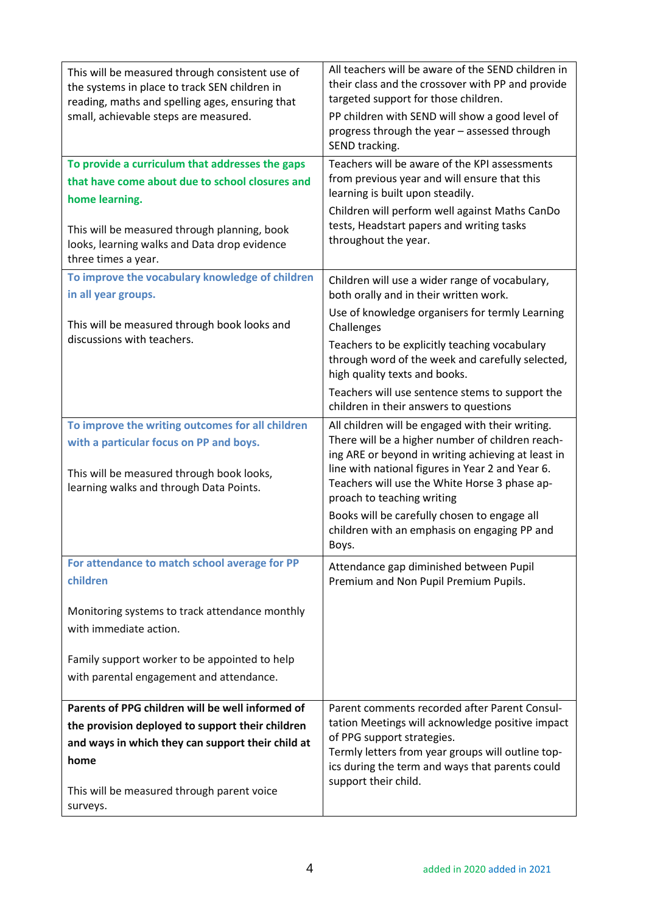| This will be measured through consistent use of<br>the systems in place to track SEN children in<br>reading, maths and spelling ages, ensuring that<br>small, achievable steps are measured.<br>To provide a curriculum that addresses the gaps<br>that have come about due to school closures and<br>home learning.<br>This will be measured through planning, book | All teachers will be aware of the SEND children in<br>their class and the crossover with PP and provide<br>targeted support for those children.<br>PP children with SEND will show a good level of<br>progress through the year - assessed through<br>SEND tracking.<br>Teachers will be aware of the KPI assessments<br>from previous year and will ensure that this<br>learning is built upon steadily.<br>Children will perform well against Maths CanDo<br>tests, Headstart papers and writing tasks<br>throughout the year. |
|----------------------------------------------------------------------------------------------------------------------------------------------------------------------------------------------------------------------------------------------------------------------------------------------------------------------------------------------------------------------|----------------------------------------------------------------------------------------------------------------------------------------------------------------------------------------------------------------------------------------------------------------------------------------------------------------------------------------------------------------------------------------------------------------------------------------------------------------------------------------------------------------------------------|
| looks, learning walks and Data drop evidence<br>three times a year.                                                                                                                                                                                                                                                                                                  |                                                                                                                                                                                                                                                                                                                                                                                                                                                                                                                                  |
| To improve the vocabulary knowledge of children<br>in all year groups.                                                                                                                                                                                                                                                                                               | Children will use a wider range of vocabulary,<br>both orally and in their written work.                                                                                                                                                                                                                                                                                                                                                                                                                                         |
| This will be measured through book looks and<br>discussions with teachers.                                                                                                                                                                                                                                                                                           | Use of knowledge organisers for termly Learning<br>Challenges                                                                                                                                                                                                                                                                                                                                                                                                                                                                    |
|                                                                                                                                                                                                                                                                                                                                                                      | Teachers to be explicitly teaching vocabulary<br>through word of the week and carefully selected,<br>high quality texts and books.                                                                                                                                                                                                                                                                                                                                                                                               |
|                                                                                                                                                                                                                                                                                                                                                                      | Teachers will use sentence stems to support the<br>children in their answers to questions                                                                                                                                                                                                                                                                                                                                                                                                                                        |
| To improve the writing outcomes for all children<br>with a particular focus on PP and boys.<br>This will be measured through book looks,<br>learning walks and through Data Points.                                                                                                                                                                                  | All children will be engaged with their writing.<br>There will be a higher number of children reach-<br>ing ARE or beyond in writing achieving at least in<br>line with national figures in Year 2 and Year 6.<br>Teachers will use the White Horse 3 phase ap-<br>proach to teaching writing<br>Books will be carefully chosen to engage all                                                                                                                                                                                    |
|                                                                                                                                                                                                                                                                                                                                                                      | children with an emphasis on engaging PP and<br>Boys.                                                                                                                                                                                                                                                                                                                                                                                                                                                                            |
| For attendance to match school average for PP<br>children                                                                                                                                                                                                                                                                                                            | Attendance gap diminished between Pupil<br>Premium and Non Pupil Premium Pupils.                                                                                                                                                                                                                                                                                                                                                                                                                                                 |
| Monitoring systems to track attendance monthly<br>with immediate action.                                                                                                                                                                                                                                                                                             |                                                                                                                                                                                                                                                                                                                                                                                                                                                                                                                                  |
| Family support worker to be appointed to help<br>with parental engagement and attendance.                                                                                                                                                                                                                                                                            |                                                                                                                                                                                                                                                                                                                                                                                                                                                                                                                                  |
| Parents of PPG children will be well informed of<br>the provision deployed to support their children<br>and ways in which they can support their child at<br>home                                                                                                                                                                                                    | Parent comments recorded after Parent Consul-<br>tation Meetings will acknowledge positive impact<br>of PPG support strategies.<br>Termly letters from year groups will outline top-<br>ics during the term and ways that parents could<br>support their child.                                                                                                                                                                                                                                                                  |
| This will be measured through parent voice<br>surveys.                                                                                                                                                                                                                                                                                                               |                                                                                                                                                                                                                                                                                                                                                                                                                                                                                                                                  |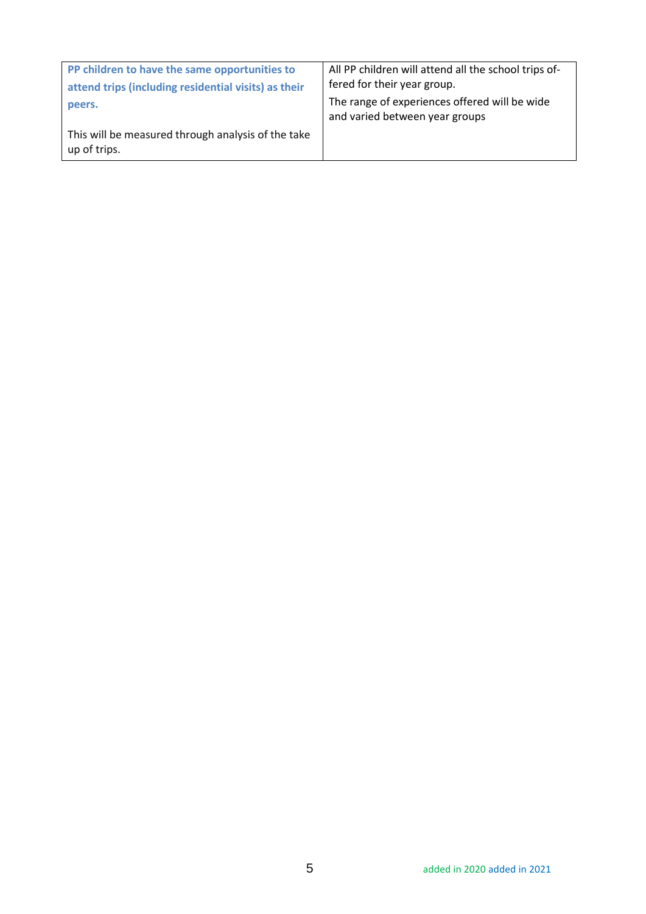| PP children to have the same opportunities to<br>attend trips (including residential visits) as their | All PP children will attend all the school trips of-<br>fered for their year group. |
|-------------------------------------------------------------------------------------------------------|-------------------------------------------------------------------------------------|
| peers.                                                                                                | The range of experiences offered will be wide<br>and varied between year groups     |
| This will be measured through analysis of the take<br>up of trips.                                    |                                                                                     |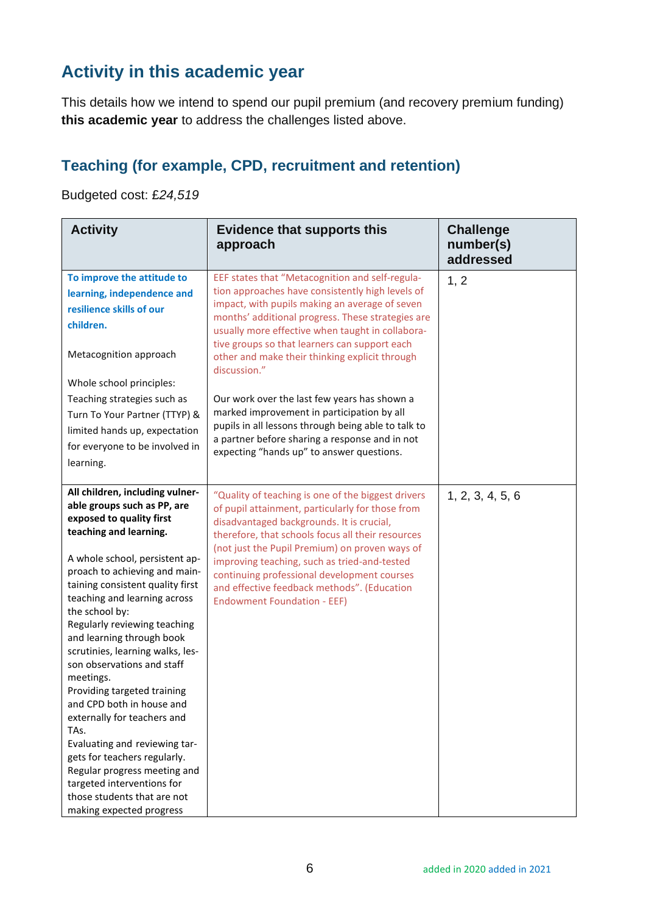## **Activity in this academic year**

This details how we intend to spend our pupil premium (and recovery premium funding) **this academic year** to address the challenges listed above.

#### **Teaching (for example, CPD, recruitment and retention)**

Budgeted cost: £*24,519*

| <b>Activity</b>                                                                                                                                                                                                                                                                                                                                                                                                                                                                                                                                                                                                                                                                                                        | <b>Evidence that supports this</b><br>approach                                                                                                                                                                                                                                                                                                                                                                                                 | <b>Challenge</b><br>number(s)<br>addressed |
|------------------------------------------------------------------------------------------------------------------------------------------------------------------------------------------------------------------------------------------------------------------------------------------------------------------------------------------------------------------------------------------------------------------------------------------------------------------------------------------------------------------------------------------------------------------------------------------------------------------------------------------------------------------------------------------------------------------------|------------------------------------------------------------------------------------------------------------------------------------------------------------------------------------------------------------------------------------------------------------------------------------------------------------------------------------------------------------------------------------------------------------------------------------------------|--------------------------------------------|
| To improve the attitude to<br>learning, independence and<br>resilience skills of our<br>children.<br>Metacognition approach<br>Whole school principles:                                                                                                                                                                                                                                                                                                                                                                                                                                                                                                                                                                | EEF states that "Metacognition and self-regula-<br>tion approaches have consistently high levels of<br>impact, with pupils making an average of seven<br>months' additional progress. These strategies are<br>usually more effective when taught in collabora-<br>tive groups so that learners can support each<br>other and make their thinking explicit through<br>discussion."                                                              | 1, 2                                       |
| Teaching strategies such as<br>Turn To Your Partner (TTYP) &<br>limited hands up, expectation<br>for everyone to be involved in<br>learning.                                                                                                                                                                                                                                                                                                                                                                                                                                                                                                                                                                           | Our work over the last few years has shown a<br>marked improvement in participation by all<br>pupils in all lessons through being able to talk to<br>a partner before sharing a response and in not<br>expecting "hands up" to answer questions.                                                                                                                                                                                               |                                            |
| All children, including vulner-<br>able groups such as PP, are<br>exposed to quality first<br>teaching and learning.<br>A whole school, persistent ap-<br>proach to achieving and main-<br>taining consistent quality first<br>teaching and learning across<br>the school by:<br>Regularly reviewing teaching<br>and learning through book<br>scrutinies, learning walks, les-<br>son observations and staff<br>meetings.<br>Providing targeted training<br>and CPD both in house and<br>externally for teachers and<br>TAs.<br>Evaluating and reviewing tar-<br>gets for teachers regularly.<br>Regular progress meeting and<br>targeted interventions for<br>those students that are not<br>making expected progress | "Quality of teaching is one of the biggest drivers<br>of pupil attainment, particularly for those from<br>disadvantaged backgrounds. It is crucial,<br>therefore, that schools focus all their resources<br>(not just the Pupil Premium) on proven ways of<br>improving teaching, such as tried-and-tested<br>continuing professional development courses<br>and effective feedback methods". (Education<br><b>Endowment Foundation - EEF)</b> | 1, 2, 3, 4, 5, 6                           |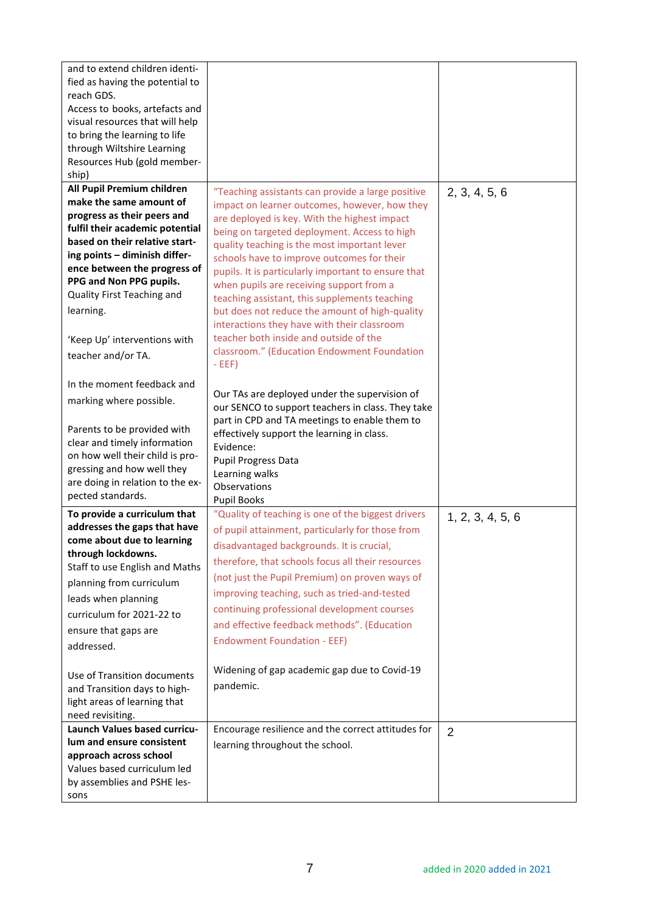| and to extend children identi-<br>fied as having the potential to<br>reach GDS.<br>Access to books, artefacts and<br>visual resources that will help<br>to bring the learning to life<br>through Wiltshire Learning<br>Resources Hub (gold member-<br>ship)                                                                                            |                                                                                                                                                                                                                                                                                                                                                                                                                                                                                                                                                                                                                                                           |                  |
|--------------------------------------------------------------------------------------------------------------------------------------------------------------------------------------------------------------------------------------------------------------------------------------------------------------------------------------------------------|-----------------------------------------------------------------------------------------------------------------------------------------------------------------------------------------------------------------------------------------------------------------------------------------------------------------------------------------------------------------------------------------------------------------------------------------------------------------------------------------------------------------------------------------------------------------------------------------------------------------------------------------------------------|------------------|
| All Pupil Premium children<br>make the same amount of<br>progress as their peers and<br>fulfil their academic potential<br>based on their relative start-<br>ing points - diminish differ-<br>ence between the progress of<br>PPG and Non PPG pupils.<br>Quality First Teaching and<br>learning.<br>'Keep Up' interventions with<br>teacher and/or TA. | "Teaching assistants can provide a large positive<br>impact on learner outcomes, however, how they<br>are deployed is key. With the highest impact<br>being on targeted deployment. Access to high<br>quality teaching is the most important lever<br>schools have to improve outcomes for their<br>pupils. It is particularly important to ensure that<br>when pupils are receiving support from a<br>teaching assistant, this supplements teaching<br>but does not reduce the amount of high-quality<br>interactions they have with their classroom<br>teacher both inside and outside of the<br>classroom." (Education Endowment Foundation<br>$-EEF)$ | 2, 3, 4, 5, 6    |
| In the moment feedback and<br>marking where possible.<br>Parents to be provided with<br>clear and timely information<br>on how well their child is pro-<br>gressing and how well they<br>are doing in relation to the ex-<br>pected standards.                                                                                                         | Our TAs are deployed under the supervision of<br>our SENCO to support teachers in class. They take<br>part in CPD and TA meetings to enable them to<br>effectively support the learning in class.<br>Evidence:<br>Pupil Progress Data<br>Learning walks<br>Observations<br><b>Pupil Books</b>                                                                                                                                                                                                                                                                                                                                                             |                  |
| To provide a curriculum that<br>addresses the gaps that have<br>come about due to learning<br>through lockdowns.<br>Staff to use English and Maths<br>planning from curriculum<br>leads when planning<br>curriculum for 2021-22 to<br>ensure that gaps are<br>addressed.                                                                               | "Quality of teaching is one of the biggest drivers<br>of pupil attainment, particularly for those from<br>disadvantaged backgrounds. It is crucial,<br>therefore, that schools focus all their resources<br>(not just the Pupil Premium) on proven ways of<br>improving teaching, such as tried-and-tested<br>continuing professional development courses<br>and effective feedback methods". (Education<br><b>Endowment Foundation - EEF)</b><br>Widening of gap academic gap due to Covid-19                                                                                                                                                            | 1, 2, 3, 4, 5, 6 |
| Use of Transition documents<br>and Transition days to high-<br>light areas of learning that<br>need revisiting.                                                                                                                                                                                                                                        | pandemic.                                                                                                                                                                                                                                                                                                                                                                                                                                                                                                                                                                                                                                                 |                  |
| Launch Values based curricu-<br>lum and ensure consistent<br>approach across school<br>Values based curriculum led<br>by assemblies and PSHE les-<br>sons                                                                                                                                                                                              | Encourage resilience and the correct attitudes for<br>learning throughout the school.                                                                                                                                                                                                                                                                                                                                                                                                                                                                                                                                                                     | $\overline{2}$   |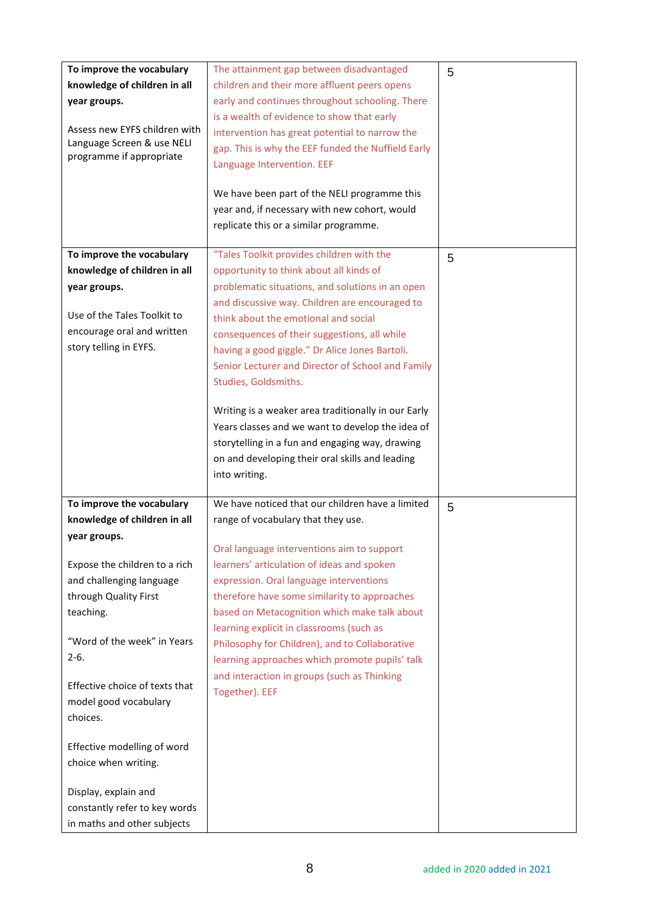| To improve the vocabulary<br>The attainment gap between disadvantaged<br>5<br>knowledge of children in all<br>children and their more affluent peers opens<br>early and continues throughout schooling. There<br>year groups.<br>is a wealth of evidence to show that early<br>Assess new EYFS children with<br>intervention has great potential to narrow the<br>Language Screen & use NELI<br>gap. This is why the EEF funded the Nuffield Early<br>programme if appropriate<br>Language Intervention. EEF<br>We have been part of the NELI programme this<br>year and, if necessary with new cohort, would<br>replicate this or a similar programme.<br>To improve the vocabulary<br>"Tales Toolkit provides children with the<br>5<br>knowledge of children in all<br>opportunity to think about all kinds of<br>problematic situations, and solutions in an open<br>year groups.<br>and discussive way. Children are encouraged to<br>Use of the Tales Toolkit to<br>think about the emotional and social<br>encourage oral and written<br>consequences of their suggestions, all while<br>story telling in EYFS.<br>having a good giggle." Dr Alice Jones Bartoli.<br>Senior Lecturer and Director of School and Family<br>Studies, Goldsmiths.<br>Writing is a weaker area traditionally in our Early<br>Years classes and we want to develop the idea of<br>storytelling in a fun and engaging way, drawing<br>on and developing their oral skills and leading<br>into writing.<br>We have noticed that our children have a limited<br>To improve the vocabulary<br>5<br>knowledge of children in all<br>range of vocabulary that they use.<br>year groups.<br>Oral language interventions aim to support<br>Expose the children to a rich<br>learners' articulation of ideas and spoken<br>and challenging language<br>expression. Oral language interventions<br>through Quality First<br>therefore have some similarity to approaches<br>based on Metacognition which make talk about<br>teaching. |                                |  |
|---------------------------------------------------------------------------------------------------------------------------------------------------------------------------------------------------------------------------------------------------------------------------------------------------------------------------------------------------------------------------------------------------------------------------------------------------------------------------------------------------------------------------------------------------------------------------------------------------------------------------------------------------------------------------------------------------------------------------------------------------------------------------------------------------------------------------------------------------------------------------------------------------------------------------------------------------------------------------------------------------------------------------------------------------------------------------------------------------------------------------------------------------------------------------------------------------------------------------------------------------------------------------------------------------------------------------------------------------------------------------------------------------------------------------------------------------------------------------------------------------------------------------------------------------------------------------------------------------------------------------------------------------------------------------------------------------------------------------------------------------------------------------------------------------------------------------------------------------------------------------------------------------------------------------------------------------------------------------------------------------------------|--------------------------------|--|
|                                                                                                                                                                                                                                                                                                                                                                                                                                                                                                                                                                                                                                                                                                                                                                                                                                                                                                                                                                                                                                                                                                                                                                                                                                                                                                                                                                                                                                                                                                                                                                                                                                                                                                                                                                                                                                                                                                                                                                                                               |                                |  |
|                                                                                                                                                                                                                                                                                                                                                                                                                                                                                                                                                                                                                                                                                                                                                                                                                                                                                                                                                                                                                                                                                                                                                                                                                                                                                                                                                                                                                                                                                                                                                                                                                                                                                                                                                                                                                                                                                                                                                                                                               |                                |  |
|                                                                                                                                                                                                                                                                                                                                                                                                                                                                                                                                                                                                                                                                                                                                                                                                                                                                                                                                                                                                                                                                                                                                                                                                                                                                                                                                                                                                                                                                                                                                                                                                                                                                                                                                                                                                                                                                                                                                                                                                               |                                |  |
|                                                                                                                                                                                                                                                                                                                                                                                                                                                                                                                                                                                                                                                                                                                                                                                                                                                                                                                                                                                                                                                                                                                                                                                                                                                                                                                                                                                                                                                                                                                                                                                                                                                                                                                                                                                                                                                                                                                                                                                                               |                                |  |
|                                                                                                                                                                                                                                                                                                                                                                                                                                                                                                                                                                                                                                                                                                                                                                                                                                                                                                                                                                                                                                                                                                                                                                                                                                                                                                                                                                                                                                                                                                                                                                                                                                                                                                                                                                                                                                                                                                                                                                                                               |                                |  |
|                                                                                                                                                                                                                                                                                                                                                                                                                                                                                                                                                                                                                                                                                                                                                                                                                                                                                                                                                                                                                                                                                                                                                                                                                                                                                                                                                                                                                                                                                                                                                                                                                                                                                                                                                                                                                                                                                                                                                                                                               |                                |  |
|                                                                                                                                                                                                                                                                                                                                                                                                                                                                                                                                                                                                                                                                                                                                                                                                                                                                                                                                                                                                                                                                                                                                                                                                                                                                                                                                                                                                                                                                                                                                                                                                                                                                                                                                                                                                                                                                                                                                                                                                               |                                |  |
|                                                                                                                                                                                                                                                                                                                                                                                                                                                                                                                                                                                                                                                                                                                                                                                                                                                                                                                                                                                                                                                                                                                                                                                                                                                                                                                                                                                                                                                                                                                                                                                                                                                                                                                                                                                                                                                                                                                                                                                                               |                                |  |
|                                                                                                                                                                                                                                                                                                                                                                                                                                                                                                                                                                                                                                                                                                                                                                                                                                                                                                                                                                                                                                                                                                                                                                                                                                                                                                                                                                                                                                                                                                                                                                                                                                                                                                                                                                                                                                                                                                                                                                                                               |                                |  |
|                                                                                                                                                                                                                                                                                                                                                                                                                                                                                                                                                                                                                                                                                                                                                                                                                                                                                                                                                                                                                                                                                                                                                                                                                                                                                                                                                                                                                                                                                                                                                                                                                                                                                                                                                                                                                                                                                                                                                                                                               |                                |  |
|                                                                                                                                                                                                                                                                                                                                                                                                                                                                                                                                                                                                                                                                                                                                                                                                                                                                                                                                                                                                                                                                                                                                                                                                                                                                                                                                                                                                                                                                                                                                                                                                                                                                                                                                                                                                                                                                                                                                                                                                               |                                |  |
|                                                                                                                                                                                                                                                                                                                                                                                                                                                                                                                                                                                                                                                                                                                                                                                                                                                                                                                                                                                                                                                                                                                                                                                                                                                                                                                                                                                                                                                                                                                                                                                                                                                                                                                                                                                                                                                                                                                                                                                                               |                                |  |
|                                                                                                                                                                                                                                                                                                                                                                                                                                                                                                                                                                                                                                                                                                                                                                                                                                                                                                                                                                                                                                                                                                                                                                                                                                                                                                                                                                                                                                                                                                                                                                                                                                                                                                                                                                                                                                                                                                                                                                                                               |                                |  |
|                                                                                                                                                                                                                                                                                                                                                                                                                                                                                                                                                                                                                                                                                                                                                                                                                                                                                                                                                                                                                                                                                                                                                                                                                                                                                                                                                                                                                                                                                                                                                                                                                                                                                                                                                                                                                                                                                                                                                                                                               |                                |  |
|                                                                                                                                                                                                                                                                                                                                                                                                                                                                                                                                                                                                                                                                                                                                                                                                                                                                                                                                                                                                                                                                                                                                                                                                                                                                                                                                                                                                                                                                                                                                                                                                                                                                                                                                                                                                                                                                                                                                                                                                               |                                |  |
|                                                                                                                                                                                                                                                                                                                                                                                                                                                                                                                                                                                                                                                                                                                                                                                                                                                                                                                                                                                                                                                                                                                                                                                                                                                                                                                                                                                                                                                                                                                                                                                                                                                                                                                                                                                                                                                                                                                                                                                                               |                                |  |
|                                                                                                                                                                                                                                                                                                                                                                                                                                                                                                                                                                                                                                                                                                                                                                                                                                                                                                                                                                                                                                                                                                                                                                                                                                                                                                                                                                                                                                                                                                                                                                                                                                                                                                                                                                                                                                                                                                                                                                                                               |                                |  |
|                                                                                                                                                                                                                                                                                                                                                                                                                                                                                                                                                                                                                                                                                                                                                                                                                                                                                                                                                                                                                                                                                                                                                                                                                                                                                                                                                                                                                                                                                                                                                                                                                                                                                                                                                                                                                                                                                                                                                                                                               |                                |  |
|                                                                                                                                                                                                                                                                                                                                                                                                                                                                                                                                                                                                                                                                                                                                                                                                                                                                                                                                                                                                                                                                                                                                                                                                                                                                                                                                                                                                                                                                                                                                                                                                                                                                                                                                                                                                                                                                                                                                                                                                               |                                |  |
|                                                                                                                                                                                                                                                                                                                                                                                                                                                                                                                                                                                                                                                                                                                                                                                                                                                                                                                                                                                                                                                                                                                                                                                                                                                                                                                                                                                                                                                                                                                                                                                                                                                                                                                                                                                                                                                                                                                                                                                                               |                                |  |
|                                                                                                                                                                                                                                                                                                                                                                                                                                                                                                                                                                                                                                                                                                                                                                                                                                                                                                                                                                                                                                                                                                                                                                                                                                                                                                                                                                                                                                                                                                                                                                                                                                                                                                                                                                                                                                                                                                                                                                                                               |                                |  |
|                                                                                                                                                                                                                                                                                                                                                                                                                                                                                                                                                                                                                                                                                                                                                                                                                                                                                                                                                                                                                                                                                                                                                                                                                                                                                                                                                                                                                                                                                                                                                                                                                                                                                                                                                                                                                                                                                                                                                                                                               |                                |  |
|                                                                                                                                                                                                                                                                                                                                                                                                                                                                                                                                                                                                                                                                                                                                                                                                                                                                                                                                                                                                                                                                                                                                                                                                                                                                                                                                                                                                                                                                                                                                                                                                                                                                                                                                                                                                                                                                                                                                                                                                               |                                |  |
|                                                                                                                                                                                                                                                                                                                                                                                                                                                                                                                                                                                                                                                                                                                                                                                                                                                                                                                                                                                                                                                                                                                                                                                                                                                                                                                                                                                                                                                                                                                                                                                                                                                                                                                                                                                                                                                                                                                                                                                                               |                                |  |
|                                                                                                                                                                                                                                                                                                                                                                                                                                                                                                                                                                                                                                                                                                                                                                                                                                                                                                                                                                                                                                                                                                                                                                                                                                                                                                                                                                                                                                                                                                                                                                                                                                                                                                                                                                                                                                                                                                                                                                                                               |                                |  |
|                                                                                                                                                                                                                                                                                                                                                                                                                                                                                                                                                                                                                                                                                                                                                                                                                                                                                                                                                                                                                                                                                                                                                                                                                                                                                                                                                                                                                                                                                                                                                                                                                                                                                                                                                                                                                                                                                                                                                                                                               |                                |  |
|                                                                                                                                                                                                                                                                                                                                                                                                                                                                                                                                                                                                                                                                                                                                                                                                                                                                                                                                                                                                                                                                                                                                                                                                                                                                                                                                                                                                                                                                                                                                                                                                                                                                                                                                                                                                                                                                                                                                                                                                               |                                |  |
|                                                                                                                                                                                                                                                                                                                                                                                                                                                                                                                                                                                                                                                                                                                                                                                                                                                                                                                                                                                                                                                                                                                                                                                                                                                                                                                                                                                                                                                                                                                                                                                                                                                                                                                                                                                                                                                                                                                                                                                                               |                                |  |
|                                                                                                                                                                                                                                                                                                                                                                                                                                                                                                                                                                                                                                                                                                                                                                                                                                                                                                                                                                                                                                                                                                                                                                                                                                                                                                                                                                                                                                                                                                                                                                                                                                                                                                                                                                                                                                                                                                                                                                                                               |                                |  |
|                                                                                                                                                                                                                                                                                                                                                                                                                                                                                                                                                                                                                                                                                                                                                                                                                                                                                                                                                                                                                                                                                                                                                                                                                                                                                                                                                                                                                                                                                                                                                                                                                                                                                                                                                                                                                                                                                                                                                                                                               |                                |  |
|                                                                                                                                                                                                                                                                                                                                                                                                                                                                                                                                                                                                                                                                                                                                                                                                                                                                                                                                                                                                                                                                                                                                                                                                                                                                                                                                                                                                                                                                                                                                                                                                                                                                                                                                                                                                                                                                                                                                                                                                               |                                |  |
|                                                                                                                                                                                                                                                                                                                                                                                                                                                                                                                                                                                                                                                                                                                                                                                                                                                                                                                                                                                                                                                                                                                                                                                                                                                                                                                                                                                                                                                                                                                                                                                                                                                                                                                                                                                                                                                                                                                                                                                                               |                                |  |
|                                                                                                                                                                                                                                                                                                                                                                                                                                                                                                                                                                                                                                                                                                                                                                                                                                                                                                                                                                                                                                                                                                                                                                                                                                                                                                                                                                                                                                                                                                                                                                                                                                                                                                                                                                                                                                                                                                                                                                                                               |                                |  |
|                                                                                                                                                                                                                                                                                                                                                                                                                                                                                                                                                                                                                                                                                                                                                                                                                                                                                                                                                                                                                                                                                                                                                                                                                                                                                                                                                                                                                                                                                                                                                                                                                                                                                                                                                                                                                                                                                                                                                                                                               |                                |  |
|                                                                                                                                                                                                                                                                                                                                                                                                                                                                                                                                                                                                                                                                                                                                                                                                                                                                                                                                                                                                                                                                                                                                                                                                                                                                                                                                                                                                                                                                                                                                                                                                                                                                                                                                                                                                                                                                                                                                                                                                               |                                |  |
|                                                                                                                                                                                                                                                                                                                                                                                                                                                                                                                                                                                                                                                                                                                                                                                                                                                                                                                                                                                                                                                                                                                                                                                                                                                                                                                                                                                                                                                                                                                                                                                                                                                                                                                                                                                                                                                                                                                                                                                                               |                                |  |
| learning explicit in classrooms (such as                                                                                                                                                                                                                                                                                                                                                                                                                                                                                                                                                                                                                                                                                                                                                                                                                                                                                                                                                                                                                                                                                                                                                                                                                                                                                                                                                                                                                                                                                                                                                                                                                                                                                                                                                                                                                                                                                                                                                                      |                                |  |
| "Word of the week" in Years                                                                                                                                                                                                                                                                                                                                                                                                                                                                                                                                                                                                                                                                                                                                                                                                                                                                                                                                                                                                                                                                                                                                                                                                                                                                                                                                                                                                                                                                                                                                                                                                                                                                                                                                                                                                                                                                                                                                                                                   |                                |  |
|                                                                                                                                                                                                                                                                                                                                                                                                                                                                                                                                                                                                                                                                                                                                                                                                                                                                                                                                                                                                                                                                                                                                                                                                                                                                                                                                                                                                                                                                                                                                                                                                                                                                                                                                                                                                                                                                                                                                                                                                               |                                |  |
|                                                                                                                                                                                                                                                                                                                                                                                                                                                                                                                                                                                                                                                                                                                                                                                                                                                                                                                                                                                                                                                                                                                                                                                                                                                                                                                                                                                                                                                                                                                                                                                                                                                                                                                                                                                                                                                                                                                                                                                                               |                                |  |
|                                                                                                                                                                                                                                                                                                                                                                                                                                                                                                                                                                                                                                                                                                                                                                                                                                                                                                                                                                                                                                                                                                                                                                                                                                                                                                                                                                                                                                                                                                                                                                                                                                                                                                                                                                                                                                                                                                                                                                                                               | Effective choice of texts that |  |
| and interaction in groups (such as Thinking                                                                                                                                                                                                                                                                                                                                                                                                                                                                                                                                                                                                                                                                                                                                                                                                                                                                                                                                                                                                                                                                                                                                                                                                                                                                                                                                                                                                                                                                                                                                                                                                                                                                                                                                                                                                                                                                                                                                                                   |                                |  |
| Together). EEF                                                                                                                                                                                                                                                                                                                                                                                                                                                                                                                                                                                                                                                                                                                                                                                                                                                                                                                                                                                                                                                                                                                                                                                                                                                                                                                                                                                                                                                                                                                                                                                                                                                                                                                                                                                                                                                                                                                                                                                                |                                |  |
| model good vocabulary                                                                                                                                                                                                                                                                                                                                                                                                                                                                                                                                                                                                                                                                                                                                                                                                                                                                                                                                                                                                                                                                                                                                                                                                                                                                                                                                                                                                                                                                                                                                                                                                                                                                                                                                                                                                                                                                                                                                                                                         |                                |  |
| choices.                                                                                                                                                                                                                                                                                                                                                                                                                                                                                                                                                                                                                                                                                                                                                                                                                                                                                                                                                                                                                                                                                                                                                                                                                                                                                                                                                                                                                                                                                                                                                                                                                                                                                                                                                                                                                                                                                                                                                                                                      | Effective modelling of word    |  |
|                                                                                                                                                                                                                                                                                                                                                                                                                                                                                                                                                                                                                                                                                                                                                                                                                                                                                                                                                                                                                                                                                                                                                                                                                                                                                                                                                                                                                                                                                                                                                                                                                                                                                                                                                                                                                                                                                                                                                                                                               |                                |  |
|                                                                                                                                                                                                                                                                                                                                                                                                                                                                                                                                                                                                                                                                                                                                                                                                                                                                                                                                                                                                                                                                                                                                                                                                                                                                                                                                                                                                                                                                                                                                                                                                                                                                                                                                                                                                                                                                                                                                                                                                               |                                |  |
| choice when writing.                                                                                                                                                                                                                                                                                                                                                                                                                                                                                                                                                                                                                                                                                                                                                                                                                                                                                                                                                                                                                                                                                                                                                                                                                                                                                                                                                                                                                                                                                                                                                                                                                                                                                                                                                                                                                                                                                                                                                                                          | Display, explain and           |  |
|                                                                                                                                                                                                                                                                                                                                                                                                                                                                                                                                                                                                                                                                                                                                                                                                                                                                                                                                                                                                                                                                                                                                                                                                                                                                                                                                                                                                                                                                                                                                                                                                                                                                                                                                                                                                                                                                                                                                                                                                               |                                |  |
| constantly refer to key words                                                                                                                                                                                                                                                                                                                                                                                                                                                                                                                                                                                                                                                                                                                                                                                                                                                                                                                                                                                                                                                                                                                                                                                                                                                                                                                                                                                                                                                                                                                                                                                                                                                                                                                                                                                                                                                                                                                                                                                 |                                |  |
| Philosophy for Children), and to Collaborative                                                                                                                                                                                                                                                                                                                                                                                                                                                                                                                                                                                                                                                                                                                                                                                                                                                                                                                                                                                                                                                                                                                                                                                                                                                                                                                                                                                                                                                                                                                                                                                                                                                                                                                                                                                                                                                                                                                                                                |                                |  |
| $2-6.$<br>learning approaches which promote pupils' talk                                                                                                                                                                                                                                                                                                                                                                                                                                                                                                                                                                                                                                                                                                                                                                                                                                                                                                                                                                                                                                                                                                                                                                                                                                                                                                                                                                                                                                                                                                                                                                                                                                                                                                                                                                                                                                                                                                                                                      |                                |  |
|                                                                                                                                                                                                                                                                                                                                                                                                                                                                                                                                                                                                                                                                                                                                                                                                                                                                                                                                                                                                                                                                                                                                                                                                                                                                                                                                                                                                                                                                                                                                                                                                                                                                                                                                                                                                                                                                                                                                                                                                               |                                |  |
|                                                                                                                                                                                                                                                                                                                                                                                                                                                                                                                                                                                                                                                                                                                                                                                                                                                                                                                                                                                                                                                                                                                                                                                                                                                                                                                                                                                                                                                                                                                                                                                                                                                                                                                                                                                                                                                                                                                                                                                                               |                                |  |
|                                                                                                                                                                                                                                                                                                                                                                                                                                                                                                                                                                                                                                                                                                                                                                                                                                                                                                                                                                                                                                                                                                                                                                                                                                                                                                                                                                                                                                                                                                                                                                                                                                                                                                                                                                                                                                                                                                                                                                                                               |                                |  |
|                                                                                                                                                                                                                                                                                                                                                                                                                                                                                                                                                                                                                                                                                                                                                                                                                                                                                                                                                                                                                                                                                                                                                                                                                                                                                                                                                                                                                                                                                                                                                                                                                                                                                                                                                                                                                                                                                                                                                                                                               |                                |  |
|                                                                                                                                                                                                                                                                                                                                                                                                                                                                                                                                                                                                                                                                                                                                                                                                                                                                                                                                                                                                                                                                                                                                                                                                                                                                                                                                                                                                                                                                                                                                                                                                                                                                                                                                                                                                                                                                                                                                                                                                               |                                |  |
|                                                                                                                                                                                                                                                                                                                                                                                                                                                                                                                                                                                                                                                                                                                                                                                                                                                                                                                                                                                                                                                                                                                                                                                                                                                                                                                                                                                                                                                                                                                                                                                                                                                                                                                                                                                                                                                                                                                                                                                                               |                                |  |
|                                                                                                                                                                                                                                                                                                                                                                                                                                                                                                                                                                                                                                                                                                                                                                                                                                                                                                                                                                                                                                                                                                                                                                                                                                                                                                                                                                                                                                                                                                                                                                                                                                                                                                                                                                                                                                                                                                                                                                                                               |                                |  |
|                                                                                                                                                                                                                                                                                                                                                                                                                                                                                                                                                                                                                                                                                                                                                                                                                                                                                                                                                                                                                                                                                                                                                                                                                                                                                                                                                                                                                                                                                                                                                                                                                                                                                                                                                                                                                                                                                                                                                                                                               |                                |  |
|                                                                                                                                                                                                                                                                                                                                                                                                                                                                                                                                                                                                                                                                                                                                                                                                                                                                                                                                                                                                                                                                                                                                                                                                                                                                                                                                                                                                                                                                                                                                                                                                                                                                                                                                                                                                                                                                                                                                                                                                               |                                |  |
|                                                                                                                                                                                                                                                                                                                                                                                                                                                                                                                                                                                                                                                                                                                                                                                                                                                                                                                                                                                                                                                                                                                                                                                                                                                                                                                                                                                                                                                                                                                                                                                                                                                                                                                                                                                                                                                                                                                                                                                                               |                                |  |
| in maths and other subjects                                                                                                                                                                                                                                                                                                                                                                                                                                                                                                                                                                                                                                                                                                                                                                                                                                                                                                                                                                                                                                                                                                                                                                                                                                                                                                                                                                                                                                                                                                                                                                                                                                                                                                                                                                                                                                                                                                                                                                                   |                                |  |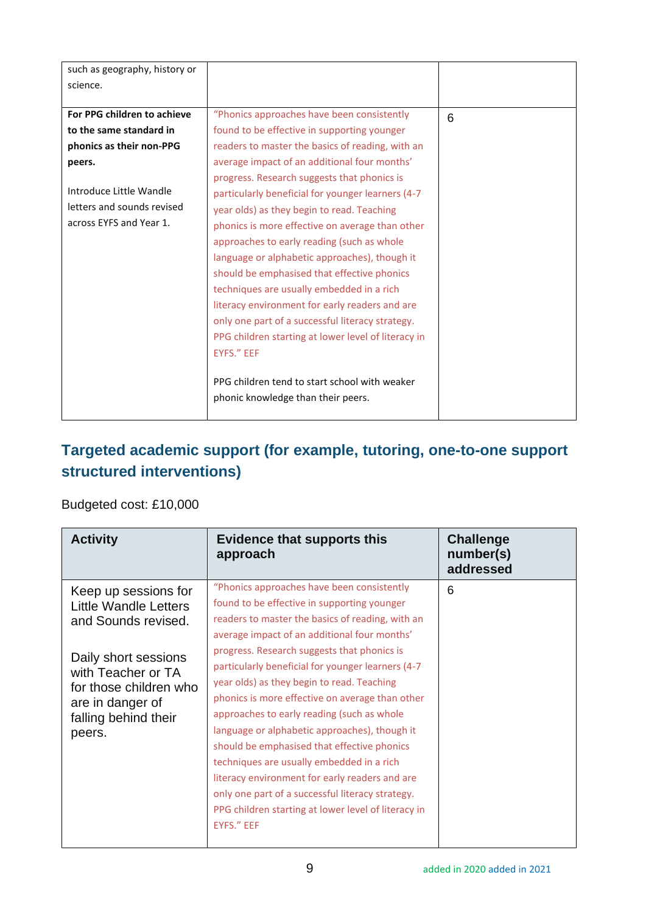| such as geography, history or |                                                     |                 |
|-------------------------------|-----------------------------------------------------|-----------------|
| science.                      |                                                     |                 |
|                               |                                                     |                 |
| For PPG children to achieve   | "Phonics approaches have been consistently          | $6\phantom{1}6$ |
| to the same standard in       | found to be effective in supporting younger         |                 |
| phonics as their non-PPG      | readers to master the basics of reading, with an    |                 |
| peers.                        | average impact of an additional four months'        |                 |
|                               | progress. Research suggests that phonics is         |                 |
| Introduce Little Wandle       | particularly beneficial for younger learners (4-7   |                 |
| letters and sounds revised    | year olds) as they begin to read. Teaching          |                 |
| across EYFS and Year 1.       | phonics is more effective on average than other     |                 |
|                               | approaches to early reading (such as whole          |                 |
|                               | language or alphabetic approaches), though it       |                 |
|                               | should be emphasised that effective phonics         |                 |
|                               | techniques are usually embedded in a rich           |                 |
|                               | literacy environment for early readers and are      |                 |
|                               | only one part of a successful literacy strategy.    |                 |
|                               | PPG children starting at lower level of literacy in |                 |
|                               | EYFS." EEF                                          |                 |
|                               |                                                     |                 |
|                               | PPG children tend to start school with weaker       |                 |
|                               | phonic knowledge than their peers.                  |                 |
|                               |                                                     |                 |

## **Targeted academic support (for example, tutoring, one-to-one support structured interventions)**

#### Budgeted cost: £10,000

| <b>Activity</b>                                                                                                                                                                                    | <b>Evidence that supports this</b><br>approach                                                                                                                                                                                                                                                                                                                                                                                                                                                                                                                                                                                                                                                                                                                           | <b>Challenge</b><br>number(s)<br>addressed |
|----------------------------------------------------------------------------------------------------------------------------------------------------------------------------------------------------|--------------------------------------------------------------------------------------------------------------------------------------------------------------------------------------------------------------------------------------------------------------------------------------------------------------------------------------------------------------------------------------------------------------------------------------------------------------------------------------------------------------------------------------------------------------------------------------------------------------------------------------------------------------------------------------------------------------------------------------------------------------------------|--------------------------------------------|
| Keep up sessions for<br>Little Wandle Letters<br>and Sounds revised.<br>Daily short sessions<br>with Teacher or TA<br>for those children who<br>are in danger of<br>falling behind their<br>peers. | "Phonics approaches have been consistently<br>found to be effective in supporting younger<br>readers to master the basics of reading, with an<br>average impact of an additional four months'<br>progress. Research suggests that phonics is<br>particularly beneficial for younger learners (4-7<br>year olds) as they begin to read. Teaching<br>phonics is more effective on average than other<br>approaches to early reading (such as whole<br>language or alphabetic approaches), though it<br>should be emphasised that effective phonics<br>techniques are usually embedded in a rich<br>literacy environment for early readers and are<br>only one part of a successful literacy strategy.<br>PPG children starting at lower level of literacy in<br>EYFS." EEF | 6                                          |
|                                                                                                                                                                                                    |                                                                                                                                                                                                                                                                                                                                                                                                                                                                                                                                                                                                                                                                                                                                                                          |                                            |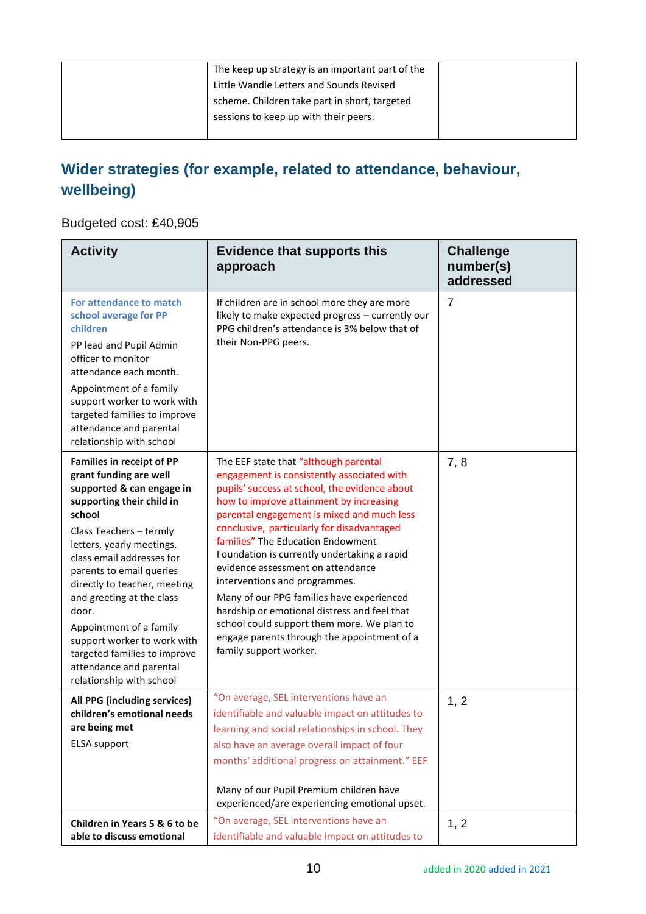| The keep up strategy is an important part of the |  |
|--------------------------------------------------|--|
| Little Wandle Letters and Sounds Revised         |  |
| scheme. Children take part in short, targeted    |  |
| sessions to keep up with their peers.            |  |
|                                                  |  |

## **Wider strategies (for example, related to attendance, behaviour, wellbeing)**

#### Budgeted cost: £40,905

| <b>Activity</b>                                                                                                                                                                                                                                                                                                                                                                                                                                                        | <b>Evidence that supports this</b><br>approach                                                                                                                                                                                                                                                                                                                                                                                                                                                                                                                                                                                                            | <b>Challenge</b><br>number(s)<br>addressed |
|------------------------------------------------------------------------------------------------------------------------------------------------------------------------------------------------------------------------------------------------------------------------------------------------------------------------------------------------------------------------------------------------------------------------------------------------------------------------|-----------------------------------------------------------------------------------------------------------------------------------------------------------------------------------------------------------------------------------------------------------------------------------------------------------------------------------------------------------------------------------------------------------------------------------------------------------------------------------------------------------------------------------------------------------------------------------------------------------------------------------------------------------|--------------------------------------------|
| For attendance to match<br>school average for PP<br>children<br>PP lead and Pupil Admin<br>officer to monitor<br>attendance each month.<br>Appointment of a family<br>support worker to work with<br>targeted families to improve<br>attendance and parental<br>relationship with school                                                                                                                                                                               | If children are in school more they are more<br>likely to make expected progress - currently our<br>PPG children's attendance is 3% below that of<br>their Non-PPG peers.                                                                                                                                                                                                                                                                                                                                                                                                                                                                                 | $\overline{7}$                             |
| <b>Families in receipt of PP</b><br>grant funding are well<br>supported & can engage in<br>supporting their child in<br>school<br>Class Teachers - termly<br>letters, yearly meetings,<br>class email addresses for<br>parents to email queries<br>directly to teacher, meeting<br>and greeting at the class<br>door.<br>Appointment of a family<br>support worker to work with<br>targeted families to improve<br>attendance and parental<br>relationship with school | The EEF state that "although parental<br>engagement is consistently associated with<br>pupils' success at school, the evidence about<br>how to improve attainment by increasing<br>parental engagement is mixed and much less<br>conclusive, particularly for disadvantaged<br>families" The Education Endowment<br>Foundation is currently undertaking a rapid<br>evidence assessment on attendance<br>interventions and programmes.<br>Many of our PPG families have experienced<br>hardship or emotional distress and feel that<br>school could support them more. We plan to<br>engage parents through the appointment of a<br>family support worker. | 7, 8                                       |
| All PPG (including services)<br>children's emotional needs<br>are being met<br><b>ELSA</b> support                                                                                                                                                                                                                                                                                                                                                                     | "On average, SEL interventions have an<br>identifiable and valuable impact on attitudes to<br>learning and social relationships in school. They<br>also have an average overall impact of four<br>months' additional progress on attainment." EEF<br>Many of our Pupil Premium children have<br>experienced/are experiencing emotional upset.                                                                                                                                                                                                                                                                                                             | 1, 2                                       |
| Children in Years 5 & 6 to be<br>able to discuss emotional                                                                                                                                                                                                                                                                                                                                                                                                             | "On average, SEL interventions have an<br>identifiable and valuable impact on attitudes to                                                                                                                                                                                                                                                                                                                                                                                                                                                                                                                                                                | 1, 2                                       |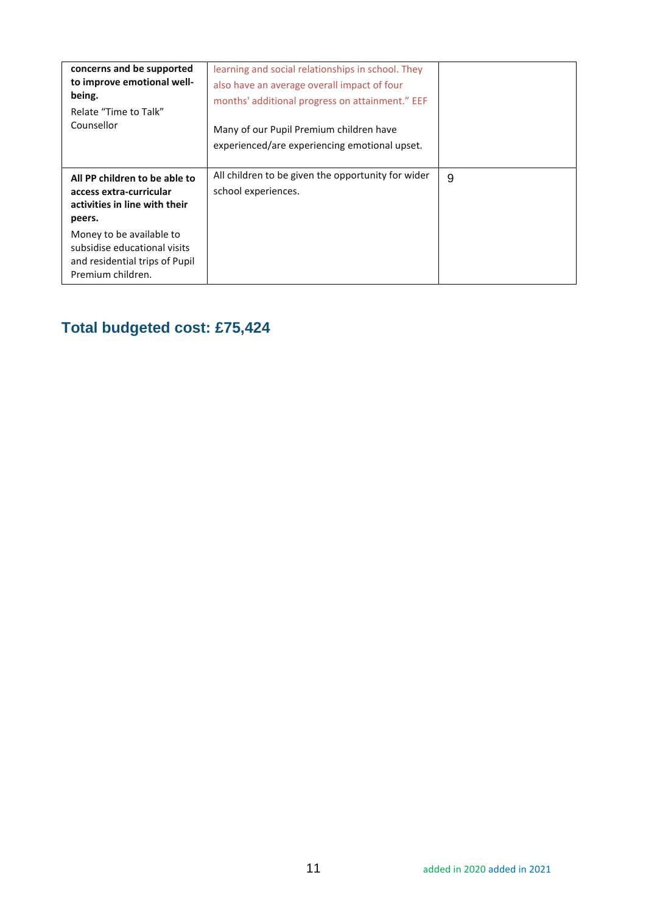| concerns and be supported<br>to improve emotional well-<br>being.<br>Relate "Time to Talk"<br>Counsellor        | learning and social relationships in school. They<br>also have an average overall impact of four<br>months' additional progress on attainment." EEF<br>Many of our Pupil Premium children have<br>experienced/are experiencing emotional upset. |   |
|-----------------------------------------------------------------------------------------------------------------|-------------------------------------------------------------------------------------------------------------------------------------------------------------------------------------------------------------------------------------------------|---|
| All PP children to be able to<br>access extra-curricular<br>activities in line with their<br>peers.             | All children to be given the opportunity for wider<br>school experiences.                                                                                                                                                                       | 9 |
| Money to be available to<br>subsidise educational visits<br>and residential trips of Pupil<br>Premium children. |                                                                                                                                                                                                                                                 |   |

## **Total budgeted cost: £75,424**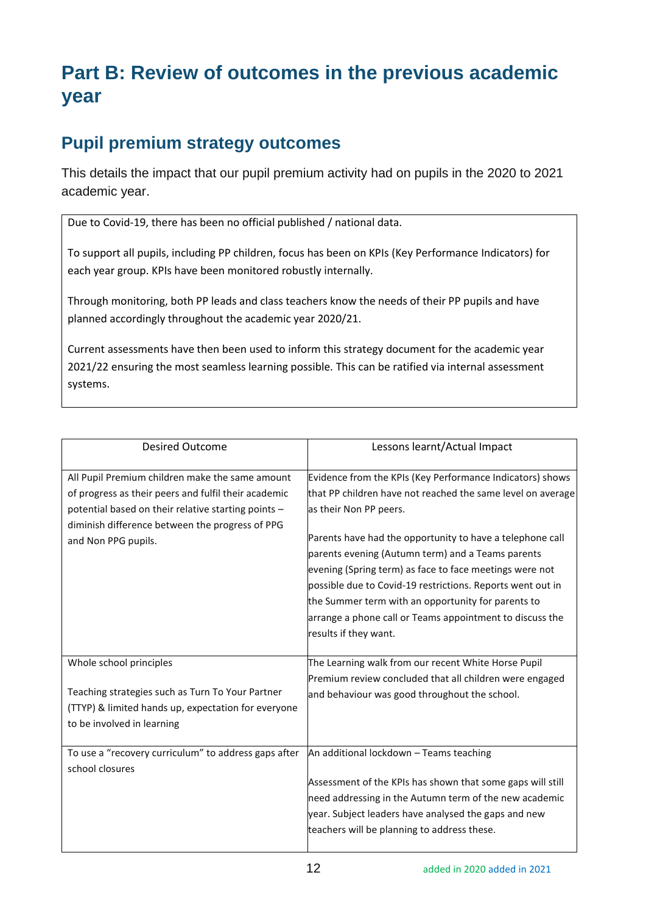## **Part B: Review of outcomes in the previous academic year**

### **Pupil premium strategy outcomes**

This details the impact that our pupil premium activity had on pupils in the 2020 to 2021 academic year.

Due to Covid-19, there has been no official published / national data.

To support all pupils, including PP children, focus has been on KPIs (Key Performance Indicators) for each year group. KPIs have been monitored robustly internally.

Through monitoring, both PP leads and class teachers know the needs of their PP pupils and have planned accordingly throughout the academic year 2020/21.

Current assessments have then been used to inform this strategy document for the academic year 2021/22 ensuring the most seamless learning possible. This can be ratified via internal assessment systems.

| <b>Desired Outcome</b>                                                                                                                                                                                                                   | Lessons learnt/Actual Impact                                                                                                                                                                                                                                                                                                                                                                                                                                                                                                             |
|------------------------------------------------------------------------------------------------------------------------------------------------------------------------------------------------------------------------------------------|------------------------------------------------------------------------------------------------------------------------------------------------------------------------------------------------------------------------------------------------------------------------------------------------------------------------------------------------------------------------------------------------------------------------------------------------------------------------------------------------------------------------------------------|
| All Pupil Premium children make the same amount<br>of progress as their peers and fulfil their academic<br>potential based on their relative starting points -<br>diminish difference between the progress of PPG<br>and Non PPG pupils. | Evidence from the KPIs (Key Performance Indicators) shows<br>that PP children have not reached the same level on average<br>as their Non PP peers.<br>Parents have had the opportunity to have a telephone call<br>parents evening (Autumn term) and a Teams parents<br>evening (Spring term) as face to face meetings were not<br>possible due to Covid-19 restrictions. Reports went out in<br>the Summer term with an opportunity for parents to<br>arrange a phone call or Teams appointment to discuss the<br>results if they want. |
| Whole school principles<br>Teaching strategies such as Turn To Your Partner<br>(TTYP) & limited hands up, expectation for everyone<br>to be involved in learning                                                                         | The Learning walk from our recent White Horse Pupil<br>Premium review concluded that all children were engaged<br>and behaviour was good throughout the school.                                                                                                                                                                                                                                                                                                                                                                          |
| To use a "recovery curriculum" to address gaps after<br>school closures                                                                                                                                                                  | An additional lockdown - Teams teaching<br>Assessment of the KPIs has shown that some gaps will still<br>need addressing in the Autumn term of the new academic<br>year. Subject leaders have analysed the gaps and new<br>teachers will be planning to address these.                                                                                                                                                                                                                                                                   |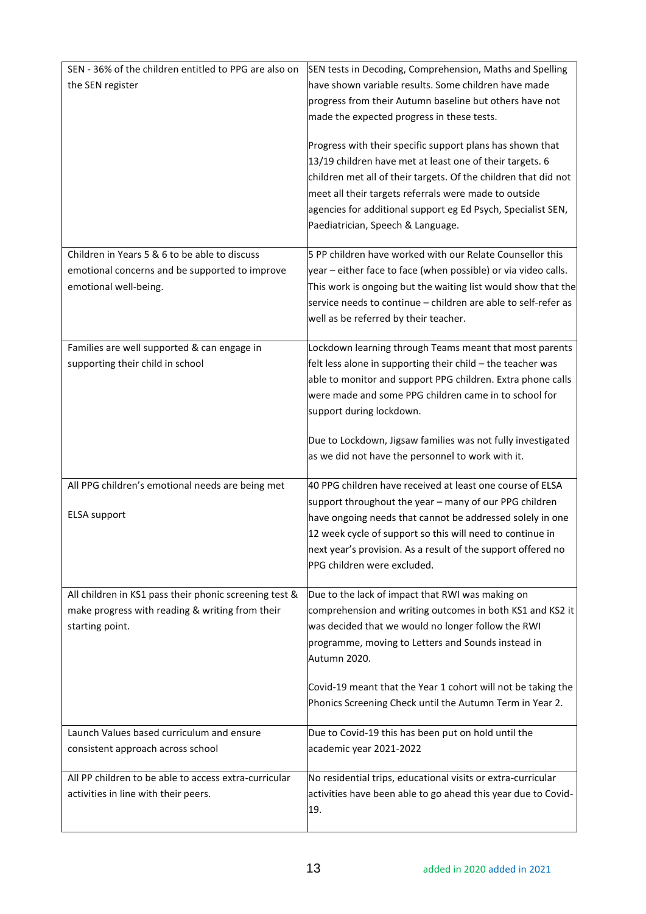| SEN - 36% of the children entitled to PPG are also on  | SEN tests in Decoding, Comprehension, Maths and Spelling                                                                        |
|--------------------------------------------------------|---------------------------------------------------------------------------------------------------------------------------------|
| the SEN register                                       | have shown variable results. Some children have made                                                                            |
|                                                        | progress from their Autumn baseline but others have not                                                                         |
|                                                        | made the expected progress in these tests.                                                                                      |
|                                                        | Progress with their specific support plans has shown that                                                                       |
|                                                        | 13/19 children have met at least one of their targets. 6                                                                        |
|                                                        | children met all of their targets. Of the children that did not                                                                 |
|                                                        | meet all their targets referrals were made to outside                                                                           |
|                                                        | agencies for additional support eg Ed Psych, Specialist SEN,                                                                    |
|                                                        | Paediatrician, Speech & Language.                                                                                               |
| Children in Years 5 & 6 to be able to discuss          | 5 PP children have worked with our Relate Counsellor this                                                                       |
| emotional concerns and be supported to improve         | year - either face to face (when possible) or via video calls.                                                                  |
| emotional well-being.                                  | This work is ongoing but the waiting list would show that the<br>service needs to continue - children are able to self-refer as |
|                                                        | well as be referred by their teacher.                                                                                           |
|                                                        |                                                                                                                                 |
| Families are well supported & can engage in            | Lockdown learning through Teams meant that most parents                                                                         |
| supporting their child in school                       | felt less alone in supporting their child - the teacher was                                                                     |
|                                                        | able to monitor and support PPG children. Extra phone calls                                                                     |
|                                                        | were made and some PPG children came in to school for<br>support during lockdown.                                               |
|                                                        |                                                                                                                                 |
|                                                        | Due to Lockdown, Jigsaw families was not fully investigated                                                                     |
|                                                        | as we did not have the personnel to work with it.                                                                               |
| All PPG children's emotional needs are being met       | 40 PPG children have received at least one course of ELSA                                                                       |
|                                                        | support throughout the year - many of our PPG children                                                                          |
| <b>ELSA</b> support                                    | have ongoing needs that cannot be addressed solely in one                                                                       |
|                                                        | 12 week cycle of support so this will need to continue in                                                                       |
|                                                        | next year's provision. As a result of the support offered no<br>PPG children were excluded.                                     |
|                                                        |                                                                                                                                 |
| All children in KS1 pass their phonic screening test & | Due to the lack of impact that RWI was making on                                                                                |
| make progress with reading & writing from their        | comprehension and writing outcomes in both KS1 and KS2 it                                                                       |
| starting point.                                        | was decided that we would no longer follow the RWI                                                                              |
|                                                        | programme, moving to Letters and Sounds instead in<br>Autumn 2020.                                                              |
|                                                        |                                                                                                                                 |
|                                                        | Covid-19 meant that the Year 1 cohort will not be taking the                                                                    |
|                                                        | Phonics Screening Check until the Autumn Term in Year 2.                                                                        |
| Launch Values based curriculum and ensure              | Due to Covid-19 this has been put on hold until the                                                                             |
| consistent approach across school                      | academic year 2021-2022                                                                                                         |
| All PP children to be able to access extra-curricular  | No residential trips, educational visits or extra-curricular                                                                    |
| activities in line with their peers.                   | activities have been able to go ahead this year due to Covid-                                                                   |
|                                                        | 19.                                                                                                                             |
|                                                        |                                                                                                                                 |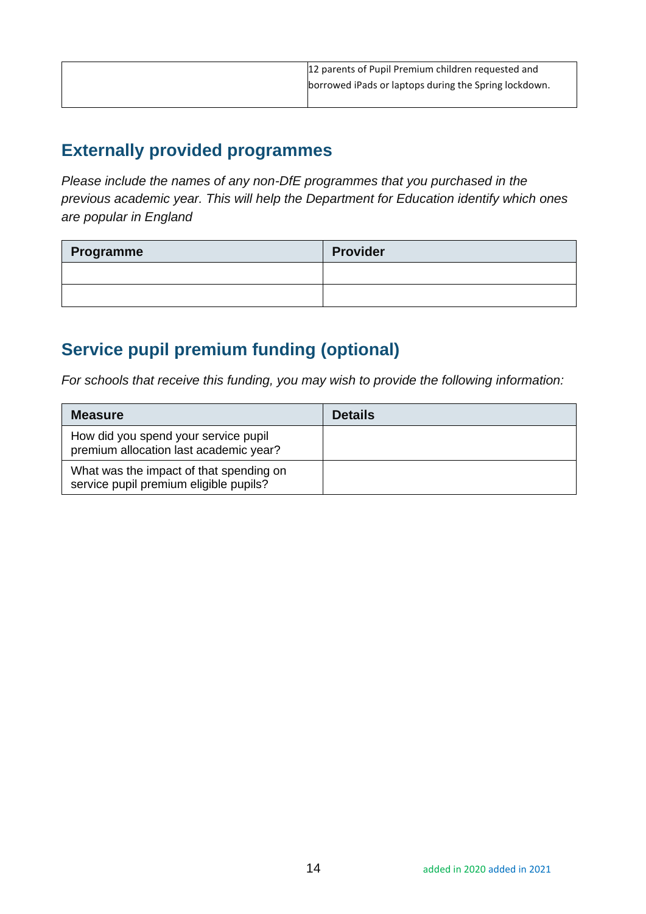| 12 parents of Pupil Premium children requested and    |
|-------------------------------------------------------|
| borrowed iPads or laptops during the Spring lockdown. |
|                                                       |

#### **Externally provided programmes**

*Please include the names of any non-DfE programmes that you purchased in the previous academic year. This will help the Department for Education identify which ones are popular in England*

| Programme | <b>Provider</b> |
|-----------|-----------------|
|           |                 |
|           |                 |

## **Service pupil premium funding (optional)**

*For schools that receive this funding, you may wish to provide the following information:* 

| <b>Measure</b>                                                                    | <b>Details</b> |
|-----------------------------------------------------------------------------------|----------------|
| How did you spend your service pupil<br>premium allocation last academic year?    |                |
| What was the impact of that spending on<br>service pupil premium eligible pupils? |                |